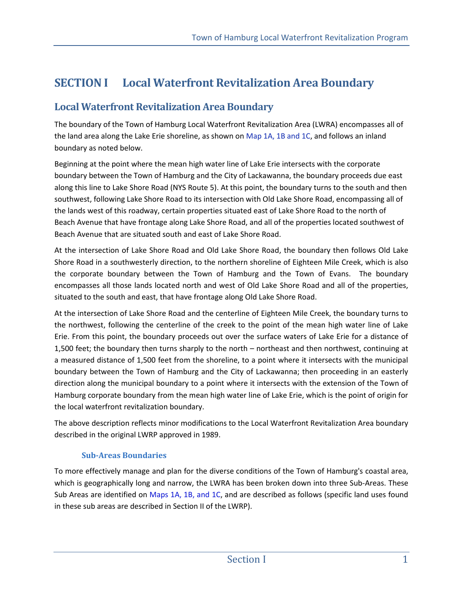# **SECTION I Local Waterfront Revitalization Area Boundary**

## **Local Waterfront Revitalization Area Boundary**

The boundary of the Town of Hamburg Local Waterfront Revitalization Area (LWRA) encompasses all of the land area along the Lake Erie shoreline, as shown on Map 1A, 1B and 1C, and follows an inland boundary as noted below.

Beginning at the point where the mean high water line of Lake Erie intersects with the corporate boundary between the Town of Hamburg and the City of Lackawanna, the boundary proceeds due east along this line to Lake Shore Road (NYS Route 5). At this point, the boundary turns to the south and then southwest, following Lake Shore Road to its intersection with Old Lake Shore Road, encompassing all of the lands west of this roadway, certain properties situated east of Lake Shore Road to the north of Beach Avenue that have frontage along Lake Shore Road, and all of the properties located southwest of Beach Avenue that are situated south and east of Lake Shore Road.

At the intersection of Lake Shore Road and Old Lake Shore Road, the boundary then follows Old Lake Shore Road in a southwesterly direction, to the northern shoreline of Eighteen Mile Creek, which is also the corporate boundary between the Town of Hamburg and the Town of Evans. The boundary encompasses all those lands located north and west of Old Lake Shore Road and all of the properties, situated to the south and east, that have frontage along Old Lake Shore Road.

At the intersection of Lake Shore Road and the centerline of Eighteen Mile Creek, the boundary turns to the northwest, following the centerline of the creek to the point of the mean high water line of Lake Erie. From this point, the boundary proceeds out over the surface waters of Lake Erie for a distance of 1,500 feet; the boundary then turns sharply to the north – northeast and then northwest, continuing at a measured distance of 1,500 feet from the shoreline, to a point where it intersects with the municipal boundary between the Town of Hamburg and the City of Lackawanna; then proceeding in an easterly direction along the municipal boundary to a point where it intersects with the extension of the Town of Hamburg corporate boundary from the mean high water line of Lake Erie, which is the point of origin for the local waterfront revitalization boundary.

The above description reflects minor modifications to the Local Waterfront Revitalization Area boundary described in the original LWRP approved in 1989.

### **Sub-Areas Boundaries**

To more effectively manage and plan for the diverse conditions of the Town of Hamburg's coastal area, which is geographically long and narrow, the LWRA has been broken down into three Sub-Areas. These Sub Areas are identified on Maps 1A, 1B, and 1C, and are described as follows (specific land uses found in these sub areas are described in Section II of the LWRP).